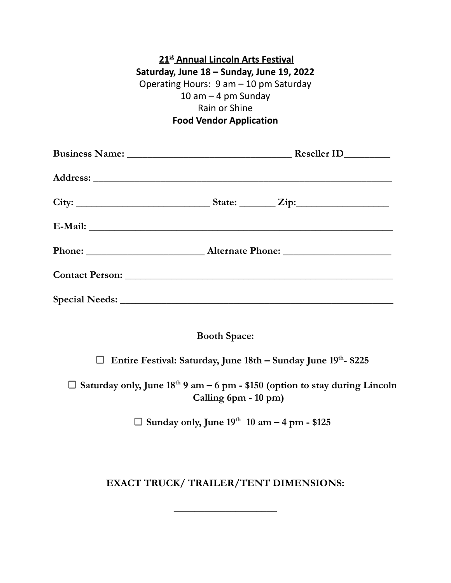| 21 <sup>st</sup> Annual Lincoln Arts Festival |
|-----------------------------------------------|
| Saturday, June 18 - Sunday, June 19, 2022     |
| Operating Hours: 9 am - 10 pm Saturday        |
| 10 am $-$ 4 pm Sunday                         |
| Rain or Shine                                 |
| <b>Food Vendor Application</b>                |

**Booth Space:**

**Entire Festival: Saturday, June 18th – Sunday June 19 th - \$225**

**Saturday only, June 18 th 9 am – 6 pm - \$150 (option to stay during Lincoln Calling 6pm - 10 pm)**

**Sunday only, June 19 th 10 am – 4 pm - \$125**

## **EXACT TRUCK/ TRAILER/TENT DIMENSIONS:**

**\_\_\_\_\_\_\_\_\_\_\_\_\_\_\_\_\_\_\_\_**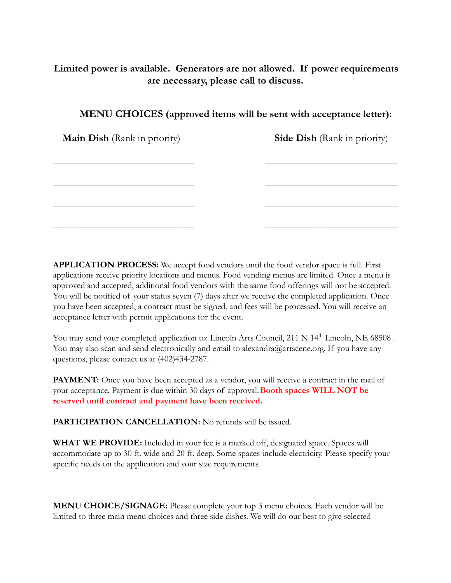## **Limited power is available. Generators are not allowed. If power requirements are necessary, please call to discuss.**

 $\mathcal{L}_\text{max}$  , and the contribution of the contribution of the contribution of the contribution of the contribution of

 $\mathcal{L}_\text{max} = \frac{1}{2} \sum_{i=1}^n \mathcal{L}_\text{max}(\mathbf{z}_i - \mathbf{z}_i)$ 

 $\mathcal{L}_\text{max} = \frac{1}{2} \sum_{i=1}^n \mathcal{L}_\text{max}(\mathbf{z}_i - \mathbf{z}_i)$ 

 $\mathcal{L}_\text{max} = \frac{1}{2} \sum_{i=1}^n \mathcal{L}_\text{max}(\mathbf{z}_i - \mathbf{z}_i)$ 

| MENU CHOICES (approved items will be sent with acceptance letter): |  |  |  |
|--------------------------------------------------------------------|--|--|--|
|                                                                    |  |  |  |

**Main Dish** (Rank in priority) **Side Dish** (Rank in priority)

**APPLICATION PROCESS:** We accept food vendors until the food vendor space is full. First applications receive priority locations and menus. Food vending menus are limited. Once a menu is approved and accepted, additional food vendors with the same food offerings will not be accepted. You will be notified of your status seven (7) days after we receive the completed application. Once you have been accepted, a contract must be signed, and fees will be processed. You will receive an acceptance letter with permit applications for the event.

You may send your completed application to: Lincoln Arts Council, 211 N 14<sup>th</sup> Lincoln, NE 68508. You may also scan and send electronically and email to alexandra@artscene.org. If you have any questions, please contact us at (402)434-2787.

**PAYMENT:** Once you have been accepted as a vendor, you will receive a contract in the mail of your acceptance. Payment is due within 30 days of approval.**Booth spaces WILL NOT be reserved until contract and payment have been received.**

**PARTICIPATION CANCELLATION:** No refunds will be issued.

**WHAT WE PROVIDE:** Included in your fee is a marked off, designated space. Spaces will accommodate up to 30 ft. wide and 20 ft. deep. Some spaces include electricity. Please specify your specific needs on the application and your size requirements.

**MENU CHOICE/SIGNAGE:** Please complete your top 3 menu choices. Each vendor will be limited to three main menu choices and three side dishes. We will do our best to give selected